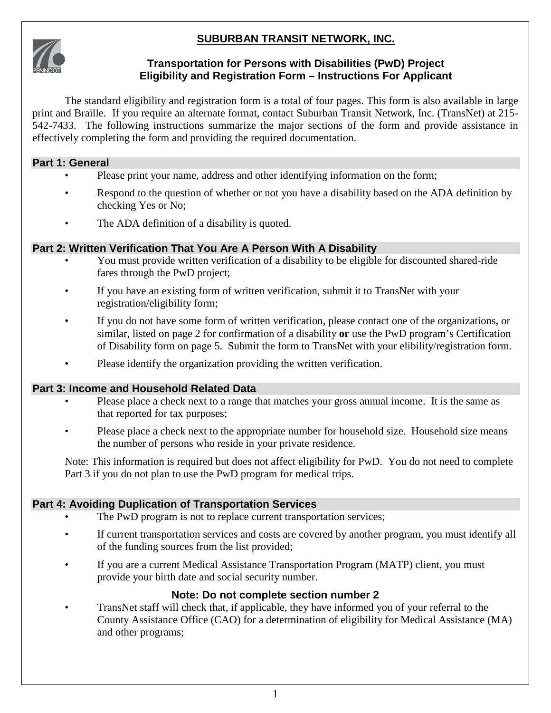# **SUBURBAN TRANSIT NETWORK, INC.**



#### **Transportation for Persons with Disabilities (PwD) Project Eligibility and Registration Form – Instructions For Applicant**

The standard eligibility and registration form is a total of four pages. This form is also available in large print and Braille. If you require an alternate format, contact Suburban Transit Network, Inc. (TransNet) at 215- 542-7433. The following instructions summarize the major sections of the form and provide assistance in effectively completing the form and providing the required documentation.

## **Part 1: General**

- Please print your name, address and other identifying information on the form;
- Respond to the question of whether or not you have a disability based on the ADA definition by checking Yes or No;
- The ADA definition of a disability is quoted.

## **Part 2: Written Verification That You Are A Person With A Disability**

- You must provide written verification of a disability to be eligible for discounted shared-ride fares through the PwD project;
- If you have an existing form of written verification, submit it to TransNet with your registration/eligibility form;
- If you do not have some form of written verification, please contact one of the organizations, or similar, listed on page 2 for confirmation of a disability **or** use the PwD program's Certification of Disability form on page 5. Submit the form to TransNet with your elibility/registration form.
- Please identify the organization providing the written verification.

## **Part 3: Income and Household Related Data**

- Please place a check next to a range that matches your gross annual income. It is the same as that reported for tax purposes;
- Please place a check next to the appropriate number for household size. Household size means the number of persons who reside in your private residence.

Note: This information is required but does not affect eligibility for PwD. You do not need to complete Part 3 if you do not plan to use the PwD program for medical trips.

## **Part 4: Avoiding Duplication of Transportation Services**

- The PwD program is not to replace current transportation services;
- If current transportation services and costs are covered by another program, you must identify all of the funding sources from the list provided;
- If you are a current Medical Assistance Transportation Program (MATP) client, you must provide your birth date and social security number.

## **Note: Do not complete section number 2**

• TransNet staff will check that, if applicable, they have informed you of your referral to the County Assistance Office (CAO) for a determination of eligibility for Medical Assistance (MA) and other programs;